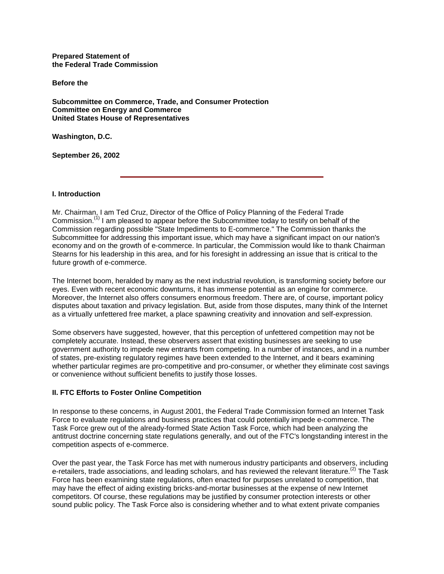**Prepared Statement of the Federal Trade Commission**

**Before the**

**Subcommittee on Commerce, Trade, and Consumer Protection Committee on Energy and Commerce United States House of Representatives**

**Washington, D.C.**

**September 26, 2002**

### **I. Introduction**

Mr. Chairman, I am Ted Cruz, Director of the Office of Policy Planning of the Federal Trade Commission.<sup>(1)</sup> I am pleased to appear before the Subcommittee today to testify on behalf of the Commission regarding possible "State Impediments to E-commerce." The Commission thanks the Subcommittee for addressing this important issue, which may have a significant impact on our nation's economy and on the growth of e-commerce. In particular, the Commission would like to thank Chairman Stearns for his leadership in this area, and for his foresight in addressing an issue that is critical to the future growth of e-commerce.

The Internet boom, heralded by many as the next industrial revolution, is transforming society before our eyes. Even with recent economic downturns, it has immense potential as an engine for commerce. Moreover, the Internet also offers consumers enormous freedom. There are, of course, important policy disputes about taxation and privacy legislation. But, aside from those disputes, many think of the Internet as a virtually unfettered free market, a place spawning creativity and innovation and self-expression.

Some observers have suggested, however, that this perception of unfettered competition may not be completely accurate. Instead, these observers assert that existing businesses are seeking to use government authority to impede new entrants from competing. In a number of instances, and in a number of states, pre-existing regulatory regimes have been extended to the Internet, and it bears examining whether particular regimes are pro-competitive and pro-consumer, or whether they eliminate cost savings or convenience without sufficient benefits to justify those losses.

### **II. FTC Efforts to Foster Online Competition**

In response to these concerns, in August 2001, the Federal Trade Commission formed an Internet Task Force to evaluate regulations and business practices that could potentially impede e-commerce. The Task Force grew out of the already-formed State Action Task Force, which had been analyzing the antitrust doctrine concerning state regulations generally, and out of the FTC's longstanding interest in the competition aspects of e-commerce.

Over the past year, the Task Force has met with numerous industry participants and observers, including e-retailers, trade associations, and leading scholars, and has reviewed the relevant literature.<sup>(2)</sup> The Task Force has been examining state regulations, often enacted for purposes unrelated to competition, that may have the effect of aiding existing bricks-and-mortar businesses at the expense of new Internet competitors. Of course, these regulations may be justified by consumer protection interests or other sound public policy. The Task Force also is considering whether and to what extent private companies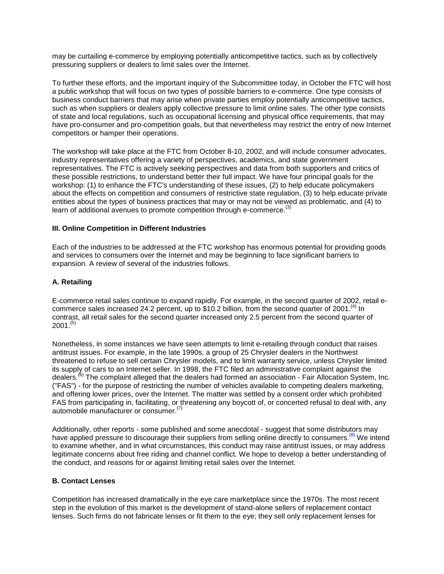may be curtailing e-commerce by employing potentially anticompetitive tactics, such as by collectively pressuring suppliers or dealers to limit sales over the Internet.

To further these efforts, and the important inquiry of the Subcommittee today, in October the FTC will host a public workshop that will focus on two types of possible barriers to e-commerce. One type consists of business conduct barriers that may arise when private parties employ potentially anticompetitive tactics, such as when suppliers or dealers apply collective pressure to limit online sales. The other type consists of state and local regulations, such as occupational licensing and physical office requirements, that may have pro-consumer and pro-competition goals, but that nevertheless may restrict the entry of new Internet competitors or hamper their operations.

The workshop will take place at the FTC from October 8-10, 2002, and will include consumer advocates, industry representatives offering a variety of perspectives, academics, and state government representatives. The FTC is actively seeking perspectives and data from both supporters and critics of these possible restrictions, to understand better their full impact. We have four principal goals for the workshop: (1) to enhance the FTC's understanding of these issues, (2) to help educate policymakers about the effects on competition and consumers of restrictive state regulation, (3) to help educate private entities about the types of business practices that may or may not be viewed as problematic, and (4) to learn of additional avenues to promote competition through e-commerce.<sup>(3)</sup>

### **III. Online Competition in Different Industries**

Each of the industries to be addressed at the FTC workshop has enormous potential for providing goods and services to consumers over the Internet and may be beginning to face significant barriers to expansion. A review of several of the industries follows.

### **A. Retailing**

E-commerce retail sales continue to expand rapidly. For example, in the second quarter of 2002, retail ecommerce sales increased 24.2 percent, up to \$10.2 billion, from the second quarter of  $2001$ .<sup>(4)</sup> In contrast, all retail sales for the second quarter increased only 2.5 percent from the second quarter of  $2001^{(5)}$ 

Nonetheless, in some instances we have seen attempts to limit e-retailing through conduct that raises antitrust issues. For example, in the late 1990s, a group of 25 Chrysler dealers in the Northwest threatened to refuse to sell certain Chrysler models, and to limit warranty service, unless Chrysler limited its supply of cars to an Internet seller. In 1998, the FTC filed an administrative complaint against the dealers.<sup>(6)</sup> The complaint alleged that the dealers had formed an association - Fair Allocation System, Inc. ("FAS") - for the purpose of restricting the number of vehicles available to competing dealers marketing, and offering lower prices, over the Internet. The matter was settled by a consent order which prohibited FAS from participating in, facilitating, or threatening any boycott of, or concerted refusal to deal with, any automobile manufacturer or consumer.(7)

Additionally, other reports - some published and some anecdotal - suggest that some distributors may have applied pressure to discourage their suppliers from selling online directly to consumers.<sup>(8)</sup> We intend to examine whether, and in what circumstances, this conduct may raise antitrust issues, or may address legitimate concerns about free riding and channel conflict. We hope to develop a better understanding of the conduct, and reasons for or against limiting retail sales over the Internet.

### **B. Contact Lenses**

Competition has increased dramatically in the eye care marketplace since the 1970s. The most recent step in the evolution of this market is the development of stand-alone sellers of replacement contact lenses. Such firms do not fabricate lenses or fit them to the eye; they sell only replacement lenses for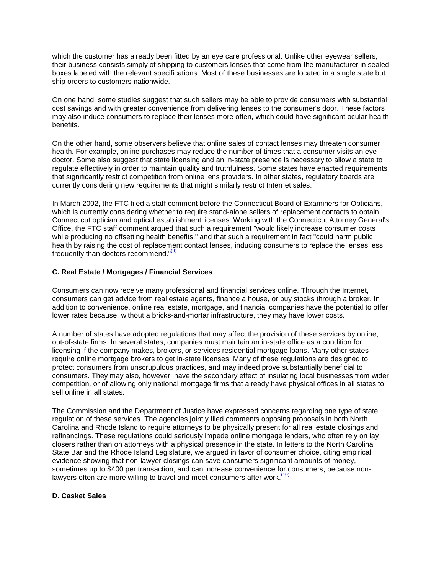which the customer has already been fitted by an eye care professional. Unlike other eyewear sellers, their business consists simply of shipping to customers lenses that come from the manufacturer in sealed boxes labeled with the relevant specifications. Most of these businesses are located in a single state but ship orders to customers nationwide.

On one hand, some studies suggest that such sellers may be able to provide consumers with substantial cost savings and with greater convenience from delivering lenses to the consumer's door. These factors may also induce consumers to replace their lenses more often, which could have significant ocular health benefits.

On the other hand, some observers believe that online sales of contact lenses may threaten consumer health. For example, online purchases may reduce the number of times that a consumer visits an eye doctor. Some also suggest that state licensing and an in-state presence is necessary to allow a state to regulate effectively in order to maintain quality and truthfulness. Some states have enacted requirements that significantly restrict competition from online lens providers. In other states, regulatory boards are currently considering new requirements that might similarly restrict Internet sales.

In March 2002, the FTC filed a staff comment before the Connecticut Board of Examiners for Opticians, which is currently considering whether to require stand-alone sellers of replacement contacts to obtain Connecticut optician and optical establishment licenses. Working with the Connecticut Attorney General's Office, the FTC staff comment argued that such a requirement "would likely increase consumer costs while producing no offsetting health benefits," and that such a requirement in fact "could harm public health by raising the cost of replacement contact lenses, inducing consumers to replace the lenses less frequently than doctors recommend."<sup>(9)</sup>

## **C. Real Estate / Mortgages / Financial Services**

Consumers can now receive many professional and financial services online. Through the Internet, consumers can get advice from real estate agents, finance a house, or buy stocks through a broker. In addition to convenience, online real estate, mortgage, and financial companies have the potential to offer lower rates because, without a bricks-and-mortar infrastructure, they may have lower costs.

A number of states have adopted regulations that may affect the provision of these services by online, out-of-state firms. In several states, companies must maintain an in-state office as a condition for licensing if the company makes, brokers, or services residential mortgage loans. Many other states require online mortgage brokers to get in-state licenses. Many of these regulations are designed to protect consumers from unscrupulous practices, and may indeed prove substantially beneficial to consumers. They may also, however, have the secondary effect of insulating local businesses from wider competition, or of allowing only national mortgage firms that already have physical offices in all states to sell online in all states.

The Commission and the Department of Justice have expressed concerns regarding one type of state regulation of these services. The agencies jointly filed comments opposing proposals in both North Carolina and Rhode Island to require attorneys to be physically present for all real estate closings and refinancings. These regulations could seriously impede online mortgage lenders, who often rely on lay closers rather than on attorneys with a physical presence in the state. In letters to the North Carolina State Bar and the Rhode Island Legislature, we argued in favor of consumer choice, citing empirical evidence showing that non-lawyer closings can save consumers significant amounts of money, sometimes up to \$400 per transaction, and can increase convenience for consumers, because nonlawyers often are more willing to travel and meet consumers after work. $(10)$ 

### **D. Casket Sales**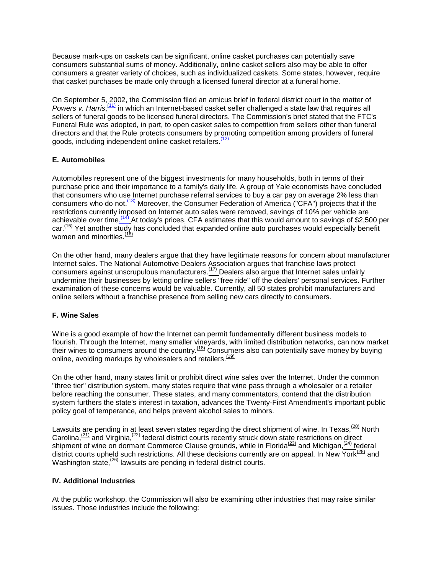Because mark-ups on caskets can be significant, online casket purchases can potentially save consumers substantial sums of money. Additionally, online casket sellers also may be able to offer consumers a greater variety of choices, such as individualized caskets. Some states, however, require that casket purchases be made only through a licensed funeral director at a funeral home.

On September 5, 2002, the Commission filed an amicus brief in federal district court in the matter of Powers v. Harris,<sup>[\(1](http://www.ftc.gov/os/2002/09/020926testimony.htm#N_11_)1)</sup> in which an Internet-based casket seller challenged a state law that requires all sellers of funeral goods to be licensed funeral directors. The Commission's brief stated that the FTC's Funeral Rule was adopted, in part, to open casket sales to competition from sellers other than funeral directors and that the Rule protects consumers by promoting competition among providers of funeral goods, including independent online casket retailers.<sup>(12)</sup>

# **E. Automobiles**

Automobiles represent one of the biggest investments for many households, both in terms of their purchase price and their importance to a family's daily life. A group of Yale economists have concluded that consumers who use Internet purchase referral services to buy a car pay on average 2% less than consumers who do not.<sup>(13)</sup> Moreover, the Consumer Federation of America ("CFA") projects that if the restrictions currently imposed on Internet auto sales were removed, savings of 10% per vehicle are achievable over time.<sup>(14)</sup> At today's prices, CFA estimates that this would amount to savings of \$2,500 per car.<sup>(15)</sup> Yet another study has concluded that expanded online auto purchases would especially benefit women and minorities. $\frac{(16)}{16}$ 

On the other hand, many dealers argue that they have legitimate reasons for concern about manufacturer Internet sales. The National Automotive Dealers Association argues that franchise laws protect consumers against unscrupulous manufacturers.(17) Dealers also argue that Internet sales unfairly undermine their businesses by letting online sellers "free ride" off the dealers' personal services. Further examination of these concerns would be valuable. Currently, all 50 states prohibit manufacturers and online sellers without a franchise presence from selling new cars directly to consumers.

# **F. Wine Sales**

Wine is a good example of how the Internet can permit fundamentally different business models to flourish. Through the Internet, many smaller vineyards, with limited distribution networks, can now market their wines to consumers around the country.(18) Consumers also can potentially save money by buying online, avoiding markups by wholesalers and retailers. $(19)$ 

On the other hand, many states limit or prohibit direct wine sales over the Internet. Under the common "three tier" distribution system, many states require that wine pass through a wholesaler or a retailer before reaching the consumer. These states, and many commentators, contend that the distribution system furthers the state's interest in taxation, advances the Twenty-First Amendment's important public policy goal of temperance, and helps prevent alcohol sales to minors.

Lawsuits are pending in at least seven states regarding the direct shipment of wine. In Texas, <sup>(20)</sup> North Carolina, $(21)$  and Virginia, $(22)$  federal district courts recently struck down state restrictions on direct shipment of wine on dormant Commerce Clause grounds, while in Florida<sup>(23)</sup> and Michigan,<sup>(24)</sup> federal district courts upheld such restrictions. All these decisions currently are on appeal. In New York<sup>(25)</sup> and Washington state, $\frac{(26)}{20}$  lawsuits are pending in federal district courts.

### **IV. Additional Industries**

At the public workshop, the Commission will also be examining other industries that may raise similar issues. Those industries include the following: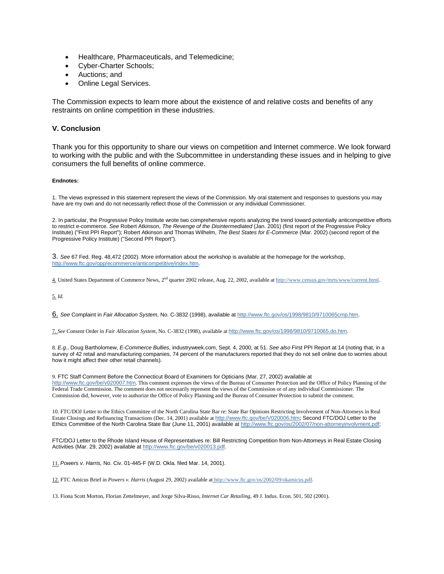- Healthcare, Pharmaceuticals, and Telemedicine;
- Cyber-Charter Schools;
- Auctions; and
- Online Legal Services.

The Commission expects to learn more about the existence of and relative costs and benefits of any restraints on online competition in these industries.

#### **V. Conclusion**

Thank you for this opportunity to share our views on competition and Internet commerce. We look forward to working with the public and with the Subcommittee in understanding these issues and in helping to give consumers the full benefits of online commerce.

#### **Endnotes:**

1. The views expressed in this statement represent the views of the Commission. My oral statement and responses to questions you may have are my own and do not necessarily reflect those of the Commission or any individual Commissioner.

2. In particular, the Progressive Policy Institute wrote two comprehensive reports analyzing the trend toward potentially anticompetitive efforts to restrict e-commerce. *See* Robert Atkinson, *The Revenge of the Disintermediated* (Jan. 2001) (first report of the Progressive Policy Institute) ("First PPI Report"); Robert Atkinson and Thomas Wilhelm, *The Best States for E-Commerce* (Mar. 2002) (second report of the Progressive Policy Institute) ("Second PPI Report").

3. *See* 67 Fed. Reg. 48,472 (2002). More information about the workshop is available at the homepage for the workshop, [http://www.ftc.gov/opp/ecommerce/anticompetitive/index.htm.](http://www.ftc.gov/opp/ecommerce/anticompetitive/index.htm) 

4. United States Department of Commerce News, 2nd quarter 2002 release, Aug. 22, 2002, available a[t http://www.census.gov/mrts/www/current.html.](http://www.census.gov/mrts/www/current.html) 

5. *Id.*

6. *See* Complaint in *Fair Allocation System*, No. C-3832 (1998), available a[t http://www.ftc.gov/os/1998/9810/9710065cmp.htm.](http://www.ftc.gov/os/1998/9810/9710065cmp.htm)

7. *See* Consent Order in *Fair Allocation System*, No. C-3832 (1998), available at [http://www.ftc.gov/os/1998/9810/9710065.do.htm](http://www.ftc.gov/os/1998/9808/9710065.agr.htm).

8. *E.g.*, Doug Bartholomew, *E-Commerce Bullies*, industryweek.com, Sept. 4, 2000, at 51. *See also* First PPI Report at 14 (noting that, in a survey of 42 retail and manufacturing companies, 74 percent of the manufacturers reported that they do not sell online due to worries about how it might affect their other retail channels).

9. FTC Staff Comment Before the Connecticut Board of Examiners for Opticians (Mar. 27, 2002) available at <http://www.ftc.gov/be/v020007.htm>. This comment expresses the views of the Bureau of Consumer Protection and the Office of Policy Planning of the Federal Trade Commission. The comment does not necessarily represent the views of the Commission or of any individual Commissioner. The Commission did, however, vote to authorize the Office of Policy Planning and the Bureau of Consumer Protection to submit the comment.

10. FTC/DOJ Letter to the Ethics Committee of the North Carolina State Bar re: State Bar Opinions Restricting Involvement of Non-Attorneys in Real Estate Closings and Refinancing Transactions (Dec. 14, 2001) available at [http://www.ftc.gov/be/V020006.htm;](http://www.ftc.gov/be/V020006.htm) Second FTC/DOJ Letter to the Ethics Committee of the North Carolina State Bar (June 11, 2001) available a[t http://www.ftc.gov/os/2002/07/non-attorneyinvolvment.pdf;](http://www.ftc.gov/os/2002/07/non-attorneyinvolvment.pdf)

FTC/DOJ Letter to the Rhode Island House of Representatives re: Bill Restricting Competition from Non-Attorneys in Real Estate Closing Activities (Mar. 29, 2002) available at<http://www.ftc.gov/be/v020013.pdf>.

11. *Powers v. Harris,* No. Civ. 01-445-F (W.D. Okla. filed Mar. 14, 2001).

12. FTC Amicus Brief in *Powers v. Harris* (August 29, 2002) available at <http://www.ftc.gov/os/2002/09/okamicus.pdf>.

13. Fiona Scott Morton, Florian Zettelmeyer, and Jorge Silva-Risso, *Internet Car Retailing*, 49 J. Indus. Econ. 501, 502 (2001).